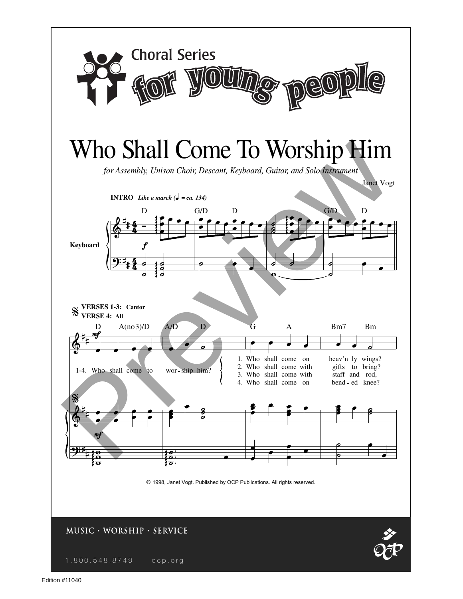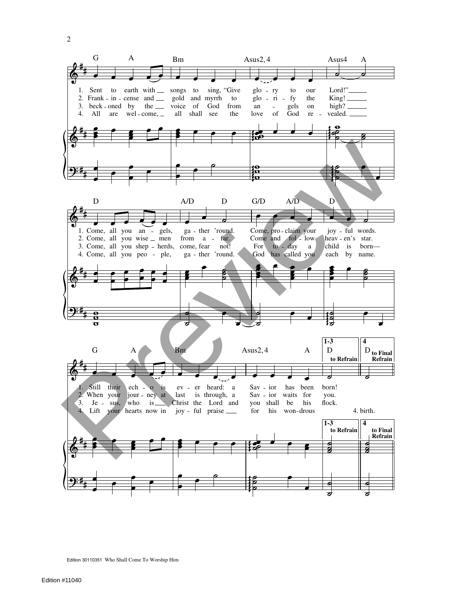

Edition 30110351 Who Shall Come To Worship Him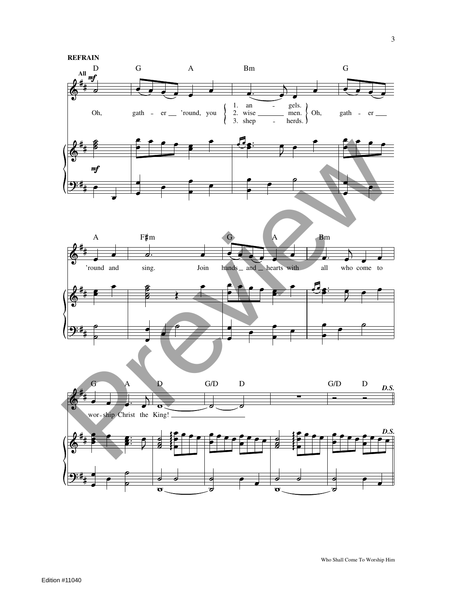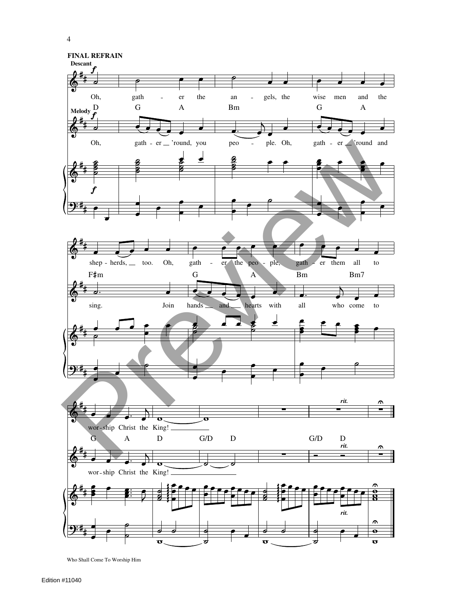





 $\epsilon$  $\overline{\bullet}$  $\overline{\mathbf{o}}$ 

Who Shall Come To Worship Him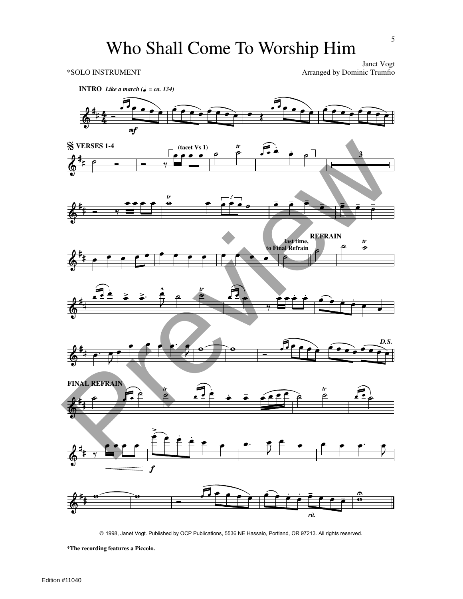Janet Vogt \*SOLO INSTRUMENT Arranged by Dominic Trumfio



© 1998, Janet Vogt. Published by OCP Publications, 5536 NE Hassalo, Portland, OR 97213. All rights reserved.

**\*The recording features a Piccolo.**